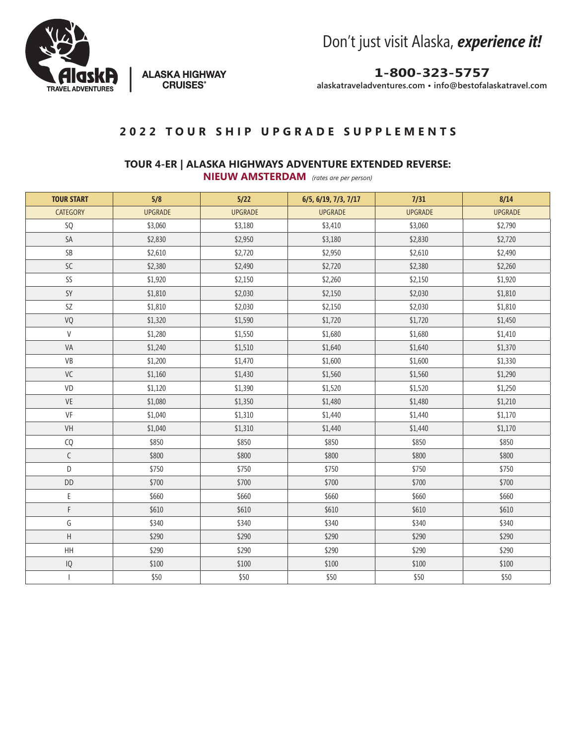

**ALASKA HIGHWAY** 

**CRUISES<sup>®</sup>** 

Don't just visit Alaska, *experience it!*

**1-800-323-5757**

**alaskatraveladventures.com • info@bestofalaskatravel.com**

## **2022 TOUR SHIP UPGRADE SUPPLEMENTS**

## **TOUR 4-ER | ALASKA HIGHWAYS ADVENTURE EXTENDED REVERSE:**

**NIEUW AMSTERDAM** *(rates are per person)*

| <b>TOUR START</b>        | 5/8            | $5/22$         | 6/5, 6/19, 7/3, 7/17 | 7/31           | 8/14           |
|--------------------------|----------------|----------------|----------------------|----------------|----------------|
| <b>CATEGORY</b>          | <b>UPGRADE</b> | <b>UPGRADE</b> | <b>UPGRADE</b>       | <b>UPGRADE</b> | <b>UPGRADE</b> |
| SQ                       | \$3,060        | \$3,180        | \$3,410              | \$3,060        | \$2,790        |
| SA                       | \$2,830        | \$2,950        | \$3,180              | \$2,830        | \$2,720        |
| SB                       | \$2,610        | \$2,720        | \$2,950              | \$2,610        | \$2,490        |
| SC                       | \$2,380        | \$2,490        | \$2,720              | \$2,380        | \$2,260        |
| SS                       | \$1,920        | \$2,150        | \$2,260              | \$2,150        | \$1,920        |
| SY                       | \$1,810        | \$2,030        | \$2,150              | \$2,030        | \$1,810        |
| SZ                       | \$1,810        | \$2,030        | \$2,150              | \$2,030        | \$1,810        |
| VQ                       | \$1,320        | \$1,590        | \$1,720              | \$1,720        | \$1,450        |
| ${\sf V}$                | \$1,280        | \$1,550        | \$1,680              | \$1,680        | \$1,410        |
| VA                       | \$1,240        | \$1,510        | \$1,640              | \$1,640        | \$1,370        |
| VB                       | \$1,200        | \$1,470        | \$1,600              | \$1,600        | \$1,330        |
| VC                       | \$1,160        | \$1,430        | \$1,560              | \$1,560        | \$1,290        |
| VD                       | \$1,120        | \$1,390        | \$1,520              | \$1,520        | \$1,250        |
| VE                       | \$1,080        | \$1,350        | \$1,480              | \$1,480        | \$1,210        |
| VF                       | \$1,040        | \$1,310        | \$1,440              | \$1,440        | \$1,170        |
| VH                       | \$1,040        | \$1,310        | \$1,440              | \$1,440        | \$1,170        |
| CQ                       | \$850          | \$850          | \$850                | \$850          | \$850          |
| $\mathsf C$              | \$800          | \$800          | \$800                | \$800          | \$800          |
| D                        | \$750          | \$750          | \$750                | \$750          | \$750          |
| DD                       | \$700          | \$700          | \$700                | \$700          | \$700          |
| E                        | \$660          | \$660          | \$660                | \$660          | \$660          |
| F                        | \$610          | \$610          | \$610                | \$610          | \$610          |
| G                        | \$340          | \$340          | \$340                | \$340          | \$340          |
| $\sf H$                  | \$290          | \$290          | \$290                | \$290          | \$290          |
| HH                       | \$290          | \$290          | \$290                | \$290          | \$290          |
| $\sf IQ$                 | \$100          | \$100          | \$100                | \$100          | \$100          |
| $\overline{\phantom{a}}$ | \$50           | \$50           | \$50                 | \$50           | \$50           |